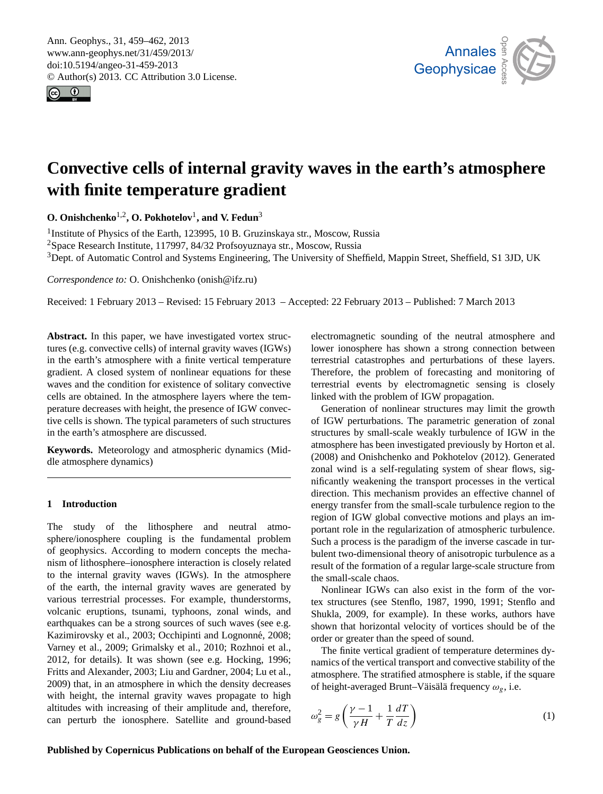<span id="page-0-0"></span>Ann. Geophys., 31, 459–462, 2013 www.ann-geophys.net/31/459/2013/ doi:10.5194/angeo-31-459-2013 © Author(s) 2013. CC Attribution 3.0 License.  $\epsilon$ 





# with finite temperature gradient Convective cells of internal gravity waves in the earth's atmosphere

**O. Onishchenko**<sup>1,2</sup>, **O. Pokhotelov**<sup>1</sup>, and **V. Fedun**<sup>3</sup>

<sup>3</sup>Dept. of Automatic Control and Systems Engineering, The University of Sheffield, Mappin Street, Sheffield, S1 3JD, UK  $rs$ <sup>1</sup> Institute of Physics of the Earth, 123995, 10 B. Gruzinskaya str., Moscow, Russia <sup>2</sup>Space Research Institute, 117997, 84/32 Profsoyuznaya str., Moscow, Russia

Measurement *Correspondence to:* O. Onishchenko (onish@ifz.ru)

Techniques Techniques  $\overline{\mathcal{O}}$ Received: 1 February 2013 – Revised: 15 February 2013 – Accepted: 22 February 2013 – Published: 7 March 2013

Fissing and the divergence of the metal gravity waves (IGWs) perature decreases with height, the presence of IGW convective cells is shown. The typical parameters of such structures **Abstract.** In this paper, we have investigated vortex strucin the earth's atmosphere with a finite vertical temperature gradient. A closed system of nonlinear equations for these waves and the condition for existence of solitary convective cells are obtained. In the atmosphere layers where the temin the earth's atmosphere are discussed.

**Keywords.** Meteorology and atmospheric dynamics (Middle atmosphere dynamics)

#### **1 Introduction**

sphere/ionosphere coupling is the fundamental problem of geophysics. According to modern concepts the mechamsm of hunosphere–fonosphere interaction is closely related<br>to the internal gravity waves (IGWs). In the atmosphere of the earth, the internal gravity waves are generated by earthquakes can be a strong sources of such waves (see e.g. Nazhimovský et al., 2009; Grempinu and Eognomic, 2006,<br>[Varney et al.,](#page-3-2) [2009;](#page-3-2) [Grimalsky et al.,](#page-3-3) [2010;](#page-3-3) [Rozhnoi et al.,](#page-3-4)  $(2009)$  $(2009)$  that, in an atmosphere in which the density decreases  $\qquad$  o And height, the method gravity waves propagate to high altitudes with increasing of their amplitude and, therefore, can perturb the ionosphere. Satellite and ground-based The study of the lithosphere and neutral atmonism of lithosphere–ionosphere interaction is closely related various terrestrial processes. For example, thunderstorms, volcanic eruptions, tsunami, typhoons, zonal winds, and [Kazimirovsky et al.,](#page-3-0) [2003;](#page-3-0) Occhipinti and Lognonné, [2008;](#page-3-1) [2012,](#page-3-4) for details). It was shown (see e.g. [Hocking,](#page-3-5) [1996;](#page-3-5) [Fritts and Alexander,](#page-3-6) [2003;](#page-3-6) [Liu and Gardner,](#page-3-7) [2004;](#page-3-7) [Lu et al.,](#page-3-8) with height, the internal gravity waves propagate to high

le<br>ow<br>eri nc<br>er<br>rs electromagnetic sounding of the neutral atmosphere and Discussions terrestrial catastrophes and perturbations of these layers. lower ionosphere has shown a strong connection between Therefore, the problem of forecasting and monitoring of terrestrial events by electromagnetic sensing is closely linked with the problem of IGW propagation.

nl<br>C<br>f<br>tru /tŀ<br>1a<br>he ked with the problem of IGW propagation.<br>Generation of nonlinear structures may limit the growth of IGW perturbations. The parametric generation of zonal structures by small-scale weakly turbulence of IGW in the  $\overline{\qquad \qquad}$   $\qquad \qquad$   $\overline{\qquad \qquad}$ Dynamics or<br>ifi<br>ne ig<br>ca<br>he zonal wind is a self-regulating system of shear flows, sigdirection. This mechanism provides an effective channel of energy transfer from the small-scale turbulence region to the ud<br>ul<br>ne<br>ne Such a process is the paradigm of the inverse cascade in turbulent two-dimensional theory of anisotropic turbulence as a result of the formation of a regular large-scale structure from ur<br>s a<br>on atmosphere has been investigated previously by [Horton et al.](#page-3-9) [\(2008\)](#page-3-9) and [Onishchenko and Pokhotelov](#page-3-10) [\(2012\)](#page-3-10). Generated nificantly weakening the transport processes in the vertical region of IGW global convective motions and plays an important role in the regularization of atmospheric turbulence. the small-scale chaos.

 $\epsilon$  sman-scale chaos.<br>Nonlinear IGWs can also exist in the form of the vor-tex structures (see [Stenflo,](#page-3-11) [1987,](#page-3-11) [1990,](#page-3-12) [1991;](#page-3-13) [Stenflo and](#page-3-14) hu<br>hc<br>ve<br>he<br>ly [Shukla,](#page-3-14) [2009,](#page-3-14) for example). In these works, authors have order or greater than the speed of sound. shown that horizontal velocity of vortices should be of the

The finite vertical gradient of temperature determines dyof height-averaged Brunt–Väisälä frequency  $\omega_g$ , i.e. namics of the vertical transport and convective stability of the atmosphere. The stratified atmosphere is stable, if the square

of height-averaged Brunt–Väisälä frequency 
$$
\omega_g
$$
, i.e.  
\n
$$
\omega_g^2 = g \left( \frac{\gamma - 1}{\gamma H} + \frac{1}{T} \frac{dT}{dz} \right)
$$
\n(1)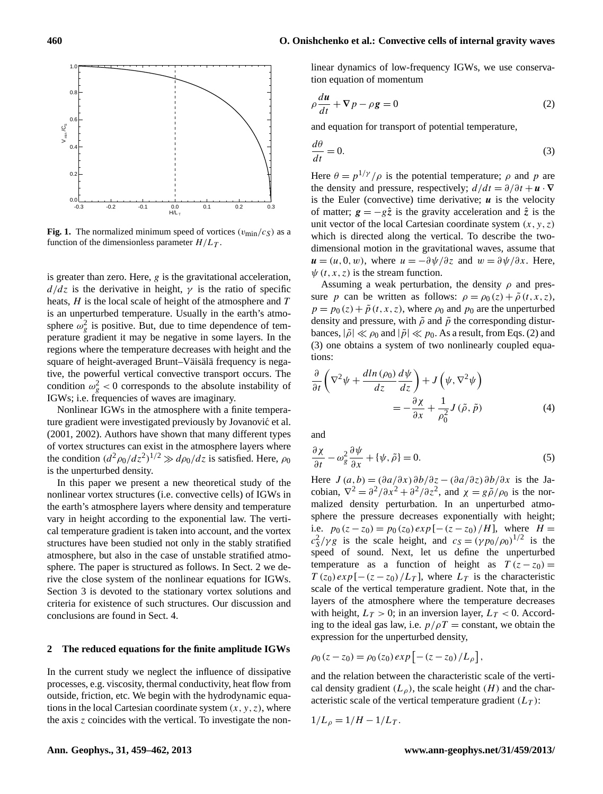## **460 O. Onishchenko et al.: Convective cells of internal gravity waves**



**Fig. 1.** The normalized minimum speed of vortices  $(v_{\text{min}}/c_S)$  as a function of the dimensionless parameter  $H/L_T$ .

is greater than zero. Here,  $g$  is the gravitational acceleration,  $d/dz$  is the derivative in height,  $\gamma$  is the ratio of specific heats,  $H$  is the local scale of height of the atmosphere and  $T$ is an unperturbed temperature. Usually in the earth's atmosphere  $\omega_g^2$  is positive. But, due to time dependence of temperature gradient it may be negative in some layers. In the regions where the temperature decreases with height and the square of height-averaged Brunt–Väisälä frequency is negative, the powerful vertical convective transport occurs. The condition  $\omega_g^2$  < 0 corresponds to the absolute instability of IGWs; i.e. frequencies of waves are imaginary.

Nonlinear IGWs in the atmosphere with a finite temperature gradient were investigated previously by Jovanović et al. [\(2001,](#page-3-15) [2002\)](#page-3-16). Authors have shown that many different types of vortex structures can exist in the atmosphere layers where the condition  $(d^2 \rho_0/dz^2)^{1/2} \gg d\rho_0/dz$  is satisfied. Here,  $\rho_0$ is the unperturbed density.

In this paper we present a new theoretical study of the nonlinear vortex structures (i.e. convective cells) of IGWs in the earth's atmosphere layers where density and temperature vary in height according to the exponential law. The vertical temperature gradient is taken into account, and the vortex structures have been studied not only in the stably stratified atmosphere, but also in the case of unstable stratified atmosphere. The paper is structured as follows. In Sect. 2 we derive the close system of the nonlinear equations for IGWs. Section 3 is devoted to the stationary vortex solutions and criteria for existence of such structures. Our discussion and conclusions are found in Sect. 4.

#### **2 The reduced equations for the finite amplitude IGWs**

In the current study we neglect the influence of dissipative processes, e.g. viscosity, thermal conductivity, heat flow from outside, friction, etc. We begin with the hydrodynamic equations in the local Cartesian coordinate system  $(x, y, z)$ , where the axis  $z$  coincides with the vertical. To investigate the non<span id="page-1-0"></span>linear dynamics of low-frequency IGWs, we use conservation equation of momentum

$$
\rho \frac{du}{dt} + \nabla p - \rho g = 0 \tag{2}
$$

and equation for transport of potential temperature,

<span id="page-1-1"></span>
$$
\frac{d\theta}{dt} = 0.\t\t(3)
$$

Here  $\theta = p^{1/\gamma}/\rho$  is the potential temperature;  $\rho$  and  $p$  are the density and pressure, respectively;  $d/dt = \partial/\partial t + \mathbf{u} \cdot \nabla$ is the Euler (convective) time derivative;  $\boldsymbol{u}$  is the velocity of matter;  $g = -g\hat{z}$  is the gravity acceleration and  $\hat{z}$  is the unit vector of the local Cartesian coordinate system  $(x, y, z)$ which is directed along the vertical. To describe the twodimensional motion in the gravitational waves, assume that  $u = (u, 0, w)$ , where  $u = -\frac{\partial \psi}{\partial z}$  and  $w = \frac{\partial \psi}{\partial x}$ . Here,  $\psi(t, x, z)$  is the stream function.

Assuming a weak perturbation, the density  $\rho$  and pressure p can be written as follows:  $\rho = \rho_0(z) + \tilde{\rho}(t, x, z)$ ,  $p = p_0(z) + \tilde{p}(t, x, z)$ , where  $\rho_0$  and  $p_0$  are the unperturbed density and pressure, with  $\tilde{\rho}$  and  $\tilde{p}$  the corresponding disturbances,  $|\tilde{\rho}| \ll \rho_0$  and  $|\tilde{p}| \ll p_0$ . As a result, from Eqs. [\(2\)](#page-1-0) and [\(3\)](#page-1-1) one obtains a system of two nonlinearly coupled equations:

<span id="page-1-2"></span>
$$
\frac{\partial}{\partial t} \left( \nabla^2 \psi + \frac{d \ln (\rho_0)}{dz} \frac{d \psi}{dz} \right) + J \left( \psi, \nabla^2 \psi \right)
$$
\n
$$
= -\frac{\partial \chi}{\partial x} + \frac{1}{\rho_0^2} J \left( \tilde{\rho}, \tilde{p} \right) \tag{4}
$$

<span id="page-1-3"></span>and

$$
\frac{\partial \chi}{\partial t} - \omega_g^2 \frac{\partial \psi}{\partial x} + {\psi, \tilde{\rho}} = 0.
$$
 (5)

Here  $J(a, b) = (\partial a/\partial x)\partial b/\partial z - (\partial a/\partial z)\partial b/\partial x$  is the Jacobian,  $\nabla^2 = \frac{\partial^2}{\partial x^2} + \frac{\partial^2}{\partial z^2}$ , and  $\chi = \frac{g \tilde{\rho}}{\rho_0}$  is the normalized density perturbation. In an unperturbed atmosphere the pressure decreases exponentially with height; i.e.  $p_0 (z - z_0) = p_0 (z_0) exp [-(z - z_0)/H]$ , where  $H =$  $c_S^2/\gamma g$  is the scale height, and  $c_S = (\gamma p_0/\rho_0)^{1/2}$  is the speed of sound. Next, let us define the unperturbed temperature as a function of height as  $T (z - z_0) =$  $T(z_0) exp[-(z-z_0)/L_T]$ , where  $L_T$  is the characteristic scale of the vertical temperature gradient. Note that, in the layers of the atmosphere where the temperature decreases with height,  $L_T > 0$ ; in an inversion layer,  $L_T < 0$ . According to the ideal gas law, i.e.  $p/\rho T = constant$ , we obtain the expression for the unperturbed density,

$$
\rho_0(z - z_0) = \rho_0(z_0) \exp [-(z - z_0)/L_\rho],
$$

and the relation between the characteristic scale of the vertical density gradient  $(L_{\rho})$ , the scale height  $(H)$  and the characteristic scale of the vertical temperature gradient  $(L_T)$ :

$$
1/L_{\rho} = 1/H - 1/L_T.
$$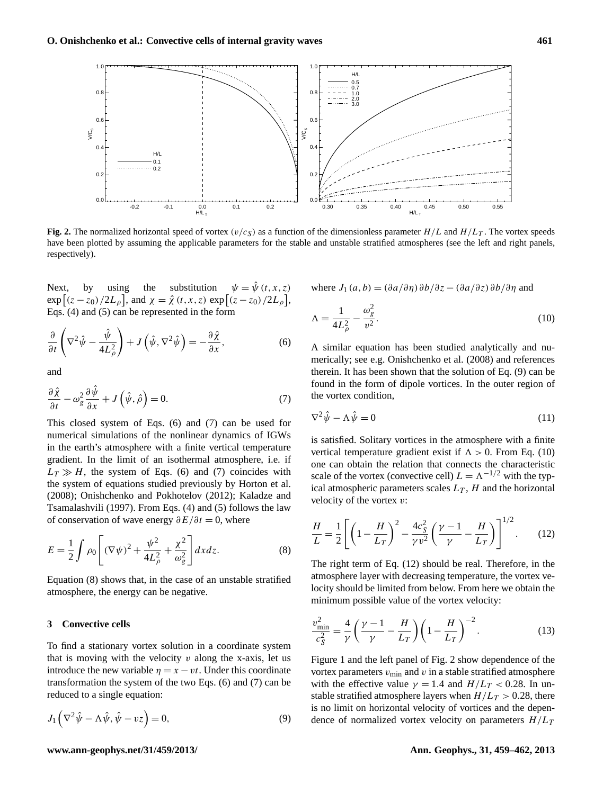

**Fig. 2.** The normalized horizontal speed of vortex ( $v/c<sub>S</sub>$ ) as a function of the dimensionless parameter  $H/L$  and  $H/L<sub>T</sub>$ . The vortex speeds have been plotted by assuming the applicable parameters for the stable and unstable stratified atmospheres (see the left and right panels, respectively).

Next, by using the substitution  $\psi = \hat{\psi}(t, x, z)$  $\exp\left[ (z - z_0)/2L_\rho \right]$ , and  $\chi = \hat{\chi}(t, x, z) \exp\left[ (z - z_0)/2L_\rho \right]$ , Eqs. [\(4\)](#page-1-2) and [\(5\)](#page-1-3) can be represented in the form

$$
\frac{\partial}{\partial t}\left(\nabla^2\hat{\psi}-\frac{\hat{\psi}}{4L_{\rho}^2}\right)+J\left(\hat{\psi},\nabla^2\hat{\psi}\right)=-\frac{\partial\hat{\chi}}{\partial x},\tag{6}
$$

<span id="page-2-1"></span>and

$$
\frac{\partial \hat{\chi}}{\partial t} - \omega_g^2 \frac{\partial \hat{\psi}}{\partial x} + J(\hat{\psi}, \hat{\rho}) = 0.
$$
 (7)

This closed system of Eqs. [\(6\)](#page-2-0) and [\(7\)](#page-2-1) can be used for numerical simulations of the nonlinear dynamics of IGWs in the earth's atmosphere with a finite vertical temperature gradient. In the limit of an isothermal atmosphere, i.e. if  $L_T \gg H$ , the system of Eqs. [\(6\)](#page-2-0) and [\(7\)](#page-2-1) coincides with the system of equations studied previously by [Horton et al.](#page-3-9) [\(2008\)](#page-3-9); [Onishchenko and Pokhotelov](#page-3-10) [\(2012\)](#page-3-10); [Kaladze and](#page-3-17) [Tsamalashvili](#page-3-17) [\(1997\)](#page-3-17). From Eqs. [\(4\)](#page-1-2) and [\(5\)](#page-1-3) follows the law of conservation of wave energy  $\partial E/\partial t = 0$ , where

$$
E = \frac{1}{2} \int \rho_0 \left[ (\nabla \psi)^2 + \frac{\psi^2}{4L_\rho^2} + \frac{\chi^2}{\omega_g^2} \right] dx dz.
$$
 (8)

Equation [\(8\)](#page-2-2) shows that, in the case of an unstable stratified atmosphere, the energy can be negative.

### **3 Convective cells**

To find a stationary vortex solution in a coordinate system that is moving with the velocity  $v$  along the x-axis, let us introduce the new variable  $\eta = x - vt$ . Under this coordinate transformation the system of the two Eqs. [\(6\)](#page-2-0) and [\(7\)](#page-2-1) can be reduced to a single equation:

<span id="page-2-3"></span>
$$
J_1\left(\nabla^2\hat{\psi} - \Lambda\hat{\psi}, \hat{\psi} - \nu z\right) = 0,\tag{9}
$$

<span id="page-2-4"></span>where  $J_1(a, b) = (\partial a/\partial \eta) \partial b/\partial z - (\partial a/\partial z) \partial b/\partial \eta$  and

<span id="page-2-0"></span>
$$
\Lambda = \frac{1}{4L_{\rho}^2} - \frac{\omega_g^2}{v^2}.\tag{10}
$$

A similar equation has been studied analytically and numerically; see e.g. [Onishchenko et al.](#page-3-18) [\(2008\)](#page-3-18) and references therein. It has been shown that the solution of Eq. [\(9\)](#page-2-3) can be found in the form of dipole vortices. In the outer region of the vortex condition,

$$
\nabla^2 \hat{\psi} - \Lambda \hat{\psi} = 0 \tag{11}
$$

is satisfied. Solitary vortices in the atmosphere with a finite vertical temperature gradient exist if  $\Lambda > 0$ . From Eq. [\(10\)](#page-2-4) one can obtain the relation that connects the characteristic scale of the vortex (convective cell)  $L = \Lambda^{-1/2}$  with the typical atmospheric parameters scales  $L<sub>T</sub>$ , H and the horizontal velocity of the vortex  $v$ :

<span id="page-2-5"></span><span id="page-2-2"></span>
$$
\frac{H}{L} = \frac{1}{2} \left[ \left( 1 - \frac{H}{L_T} \right)^2 - \frac{4c_S^2}{\gamma v^2} \left( \frac{\gamma - 1}{\gamma} - \frac{H}{L_T} \right) \right]^{1/2} . \tag{12}
$$

The right term of Eq. [\(12\)](#page-2-5) should be real. Therefore, in the atmosphere layer with decreasing temperature, the vortex velocity should be limited from below. From here we obtain the minimum possible value of the vortex velocity:

$$
\frac{v_{\text{min}}^2}{c_S^2} = \frac{4}{\gamma} \left( \frac{\gamma - 1}{\gamma} - \frac{H}{L_T} \right) \left( 1 - \frac{H}{L_T} \right)^{-2}.
$$
 (13)

Figure 1 and the left panel of Fig. 2 show dependence of the vortex parameters  $v_{\text{min}}$  and v in a stable stratified atmosphere with the effective value  $\gamma = 1.4$  and  $H/L_T < 0.28$ . In unstable stratified atmosphere layers when  $H/L_T > 0.28$ , there is no limit on horizontal velocity of vortices and the dependence of normalized vortex velocity on parameters  $H/L_T$